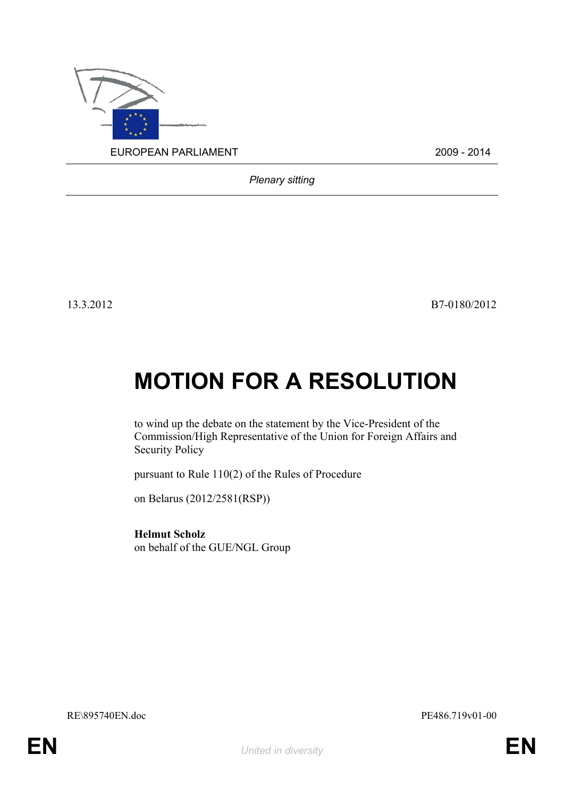

*Plenary sitting*

13.3.2012 B7-0180/2012

## **MOTION FOR A RESOLUTION**

to wind up the debate on the statement by the Vice-President of the Commission/High Representative of the Union for Foreign Affairs and Security Policy

pursuant to Rule 110(2) of the Rules of Procedure

on Belarus (2012/2581(RSP))

**Helmut Scholz** on behalf of the GUE/NGL Group

<span id="page-0-1"></span>RE\895740EN.doc PE486.719v01-00

<span id="page-0-0"></span>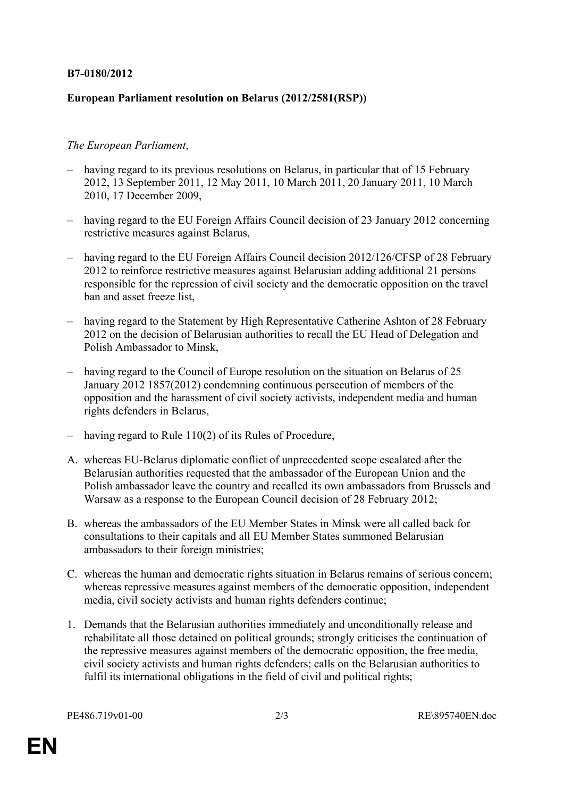## **B7-0180/2012**

## **European Parliament resolution on Belarus (2012/2581(RSP))**

## *The European Parliament*,

- having regard to its previous resolutions on Belarus, in particular that of 15 February 2012, 13 September 2011, 12 May 2011, 10 March 2011, 20 January 2011, 10 March 2010, 17 December 2009,
- having regard to the EU Foreign Affairs Council decision of 23 January 2012 concerning restrictive measures against Belarus,
- having regard to the EU Foreign Affairs Council decision 2012/126/CFSP of 28 February 2012 to reinforce restrictive measures against Belarusian adding additional 21 persons responsible for the repression of civil society and the democratic opposition on the travel ban and asset freeze list
- having regard to the Statement by High Representative Catherine Ashton of 28 February 2012 on the decision of Belarusian authorities to recall the EU Head of Delegation and Polish Ambassador to Minsk,
- having regard to the Council of Europe resolution on the situation on Belarus of 25 January 2012 1857(2012) condemning continuous persecution of members of the opposition and the harassment of civil society activists, independent media and human rights defenders in Belarus,
- having regard to Rule 110(2) of its Rules of Procedure,
- A. whereas EU-Belarus diplomatic conflict of unprecedented scope escalated after the Belarusian authorities requested that the ambassador of the European Union and the Polish ambassador leave the country and recalled its own ambassadors from Brussels and Warsaw as a response to the European Council decision of 28 February 2012;
- B. whereas the ambassadors of the EU Member States in Minsk were all called back for consultations to their capitals and all EU Member States summoned Belarusian ambassadors to their foreign ministries;
- C. whereas the human and democratic rights situation in Belarus remains of serious concern; whereas repressive measures against members of the democratic opposition, independent media, civil society activists and human rights defenders continue;
- 1. Demands that the Belarusian authorities immediately and unconditionally release and rehabilitate all those detained on political grounds; strongly criticises the continuation of the repressive measures against members of the democratic opposition, the free media, civil society activists and human rights defenders; calls on the Belarusian authorities to fulfil its international obligations in the field of civil and political rights;